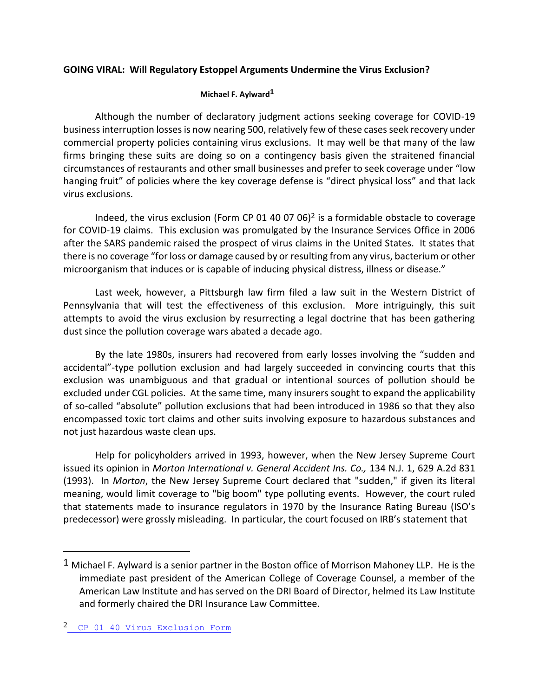## **GOING VIRAL: Will Regulatory Estoppel Arguments Undermine the Virus Exclusion?**

## **Michael F. Aylward1**

Although the number of declaratory judgment actions seeking coverage for COVID-19 business interruption losses is now nearing 500, relatively few of these cases seek recovery under commercial property policies containing virus exclusions. It may well be that many of the law firms bringing these suits are doing so on a contingency basis given the straitened financial circumstances of restaurants and other small businesses and prefer to seek coverage under "low hanging fruit" of policies where the key coverage defense is "direct physical loss" and that lack virus exclusions.

Indeed, the virus exclusion (Form CP 01 40 07 06)<sup>2</sup> is a formidable obstacle to coverage for COVID-19 claims. This exclusion was promulgated by the Insurance Services Office in 2006 after the SARS pandemic raised the prospect of virus claims in the United States. It states that there is no coverage "for loss or damage caused by or resulting from any virus, bacterium or other microorganism that induces or is capable of inducing physical distress, illness or disease."

Last week, however, a Pittsburgh law firm filed a law suit in the Western District of Pennsylvania that will test the effectiveness of this exclusion. More intriguingly, this suit attempts to avoid the virus exclusion by resurrecting a legal doctrine that has been gathering dust since the pollution coverage wars abated a decade ago.

By the late 1980s, insurers had recovered from early losses involving the "sudden and accidental"-type pollution exclusion and had largely succeeded in convincing courts that this exclusion was unambiguous and that gradual or intentional sources of pollution should be excluded under CGL policies. At the same time, many insurers sought to expand the applicability of so-called "absolute" pollution exclusions that had been introduced in 1986 so that they also encompassed toxic tort claims and other suits involving exposure to hazardous substances and not just hazardous waste clean ups.

Help for policyholders arrived in 1993, however, when the New Jersey Supreme Court issued its opinion in *Morton International v. General Accident Ins. Co.,* 134 N.J. 1, 629 A.2d 831 (1993). In *Morton*, the New Jersey Supreme Court declared that "sudden," if given its literal meaning, would limit coverage to "big boom" type polluting events. However, the court ruled that statements made to insurance regulators in 1970 by the Insurance Rating Bureau (ISO's predecessor) were grossly misleading. In particular, the court focused on IRB's statement that

J.

 $1$  Michael F. Aylward is a senior partner in the Boston office of Morrison Mahoney LLP. He is the immediate past president of the American College of Coverage Counsel, a member of the American Law Institute and has served on the DRI Board of Director, helmed its Law Institute and formerly chaired the DRI Insurance Law Committee.

<sup>2</sup> [CP 01 40 Virus Exclusion Form](https://northstarmutual.com/UserFiles/File/forms/policyforms/Current/CP%2001%2040%2007%2006.pdf)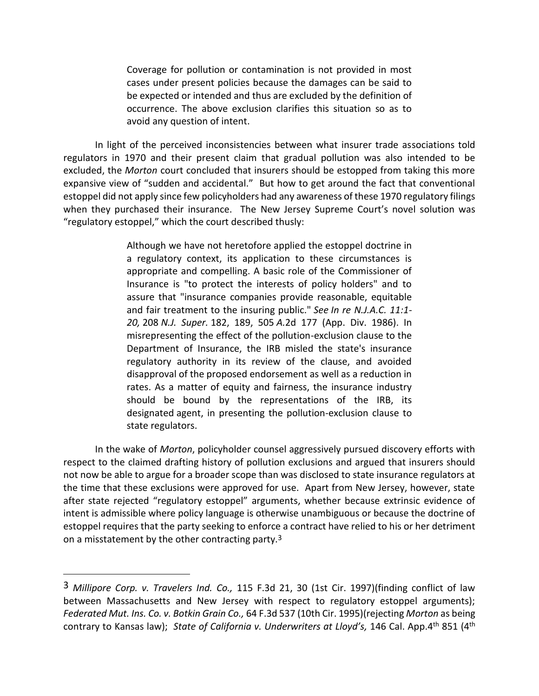Coverage for pollution or contamination is not provided in most cases under present policies because the damages can be said to be expected or intended and thus are excluded by the definition of occurrence. The above exclusion clarifies this situation so as to avoid any question of intent.

In light of the perceived inconsistencies between what insurer trade associations told regulators in 1970 and their present claim that gradual pollution was also intended to be excluded, the *Morton* court concluded that insurers should be estopped from taking this more expansive view of "sudden and accidental." But how to get around the fact that conventional estoppel did not apply since few policyholders had any awareness of these 1970 regulatory filings when they purchased their insurance. The New Jersey Supreme Court's novel solution was "regulatory estoppel," which the court described thusly:

> Although we have not heretofore applied the estoppel doctrine in a regulatory context, its application to these circumstances is appropriate and compelling. A basic role of the Commissioner of Insurance is "to protect the interests of policy holders" and to assure that "insurance companies provide reasonable, equitable and fair treatment to the insuring public." *See In re N.J.A.C. 11:1- 20,* 208 *N.J. Super.* 182, 189, 505 *A.*2d 177 (App. Div. 1986). In misrepresenting the effect of the pollution-exclusion clause to the Department of Insurance, the IRB misled the state's insurance regulatory authority in its review of the clause, and avoided disapproval of the proposed endorsement as well as a reduction in rates. As a matter of equity and fairness, the insurance industry should be bound by the representations of the IRB, its designated agent, in presenting the pollution-exclusion clause to state regulators.

In the wake of *Morton*, policyholder counsel aggressively pursued discovery efforts with respect to the claimed drafting history of pollution exclusions and argued that insurers should not now be able to argue for a broader scope than was disclosed to state insurance regulators at the time that these exclusions were approved for use. Apart from New Jersey, however, state after state rejected "regulatory estoppel" arguments, whether because extrinsic evidence of intent is admissible where policy language is otherwise unambiguous or because the doctrine of estoppel requires that the party seeking to enforce a contract have relied to his or her detriment on a misstatement by the other contracting party.3

÷,

<sup>3</sup> *Millipore Corp. v. Travelers Ind. Co.,* 115 F.3d 21, 30 (1st Cir. 1997)(finding conflict of law between Massachusetts and New Jersey with respect to regulatory estoppel arguments); *Federated Mut. Ins. Co. v. Botkin Grain Co.,* 64 F.3d 537 (10th Cir. 1995)(rejecting *Morton* as being contrary to Kansas law); *State of California v. Underwriters at Lloyd's,* 146 Cal. App.4th 851 (4th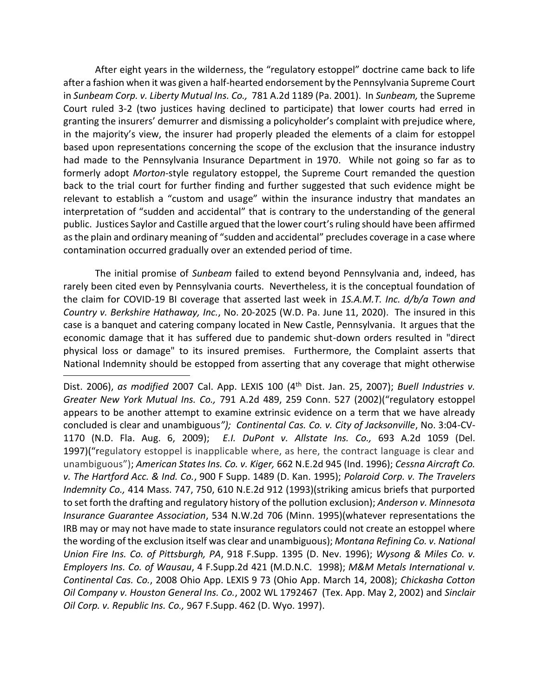After eight years in the wilderness, the "regulatory estoppel" doctrine came back to life after a fashion when it was given a half-hearted endorsement by the Pennsylvania Supreme Court in *Sunbeam Corp. v. Liberty Mutual Ins. Co.,* 781 A.2d 1189 (Pa. 2001). In *Sunbeam,* the Supreme Court ruled 3-2 (two justices having declined to participate) that lower courts had erred in granting the insurers' demurrer and dismissing a policyholder's complaint with prejudice where, in the majority's view, the insurer had properly pleaded the elements of a claim for estoppel based upon representations concerning the scope of the exclusion that the insurance industry had made to the Pennsylvania Insurance Department in 1970. While not going so far as to formerly adopt *Morton-*style regulatory estoppel, the Supreme Court remanded the question back to the trial court for further finding and further suggested that such evidence might be relevant to establish a "custom and usage" within the insurance industry that mandates an interpretation of "sudden and accidental" that is contrary to the understanding of the general public. Justices Saylor and Castille argued that the lower court's ruling should have been affirmed as the plain and ordinary meaning of "sudden and accidental" precludes coverage in a case where contamination occurred gradually over an extended period of time.

The initial promise of *Sunbeam* failed to extend beyond Pennsylvania and, indeed, has rarely been cited even by Pennsylvania courts. Nevertheless, it is the conceptual foundation of the claim for COVID-19 BI coverage that asserted last week in *1S.A.M.T. Inc. d/b/a Town and Country v. Berkshire Hathaway, Inc.*, No. 20-2025 (W.D. Pa. June 11, 2020). The insured in this case is a banquet and catering company located in New Castle, Pennsylvania. It argues that the economic damage that it has suffered due to pandemic shut-down orders resulted in "direct physical loss or damage" to its insured premises. Furthermore, the Complaint asserts that National Indemnity should be estopped from asserting that any coverage that might otherwise

J.

Dist. 2006), *as modified* 2007 Cal. App. LEXIS 100 (4th Dist. Jan. 25, 2007); *Buell Industries v. Greater New York Mutual Ins. Co.,* 791 A.2d 489, 259 Conn. 527 (2002)("regulatory estoppel appears to be another attempt to examine extrinsic evidence on a term that we have already concluded is clear and unambiguous*"); Continental Cas. Co. v. City of Jacksonville*, No. 3:04-CV-1170 (N.D. Fla. Aug. 6, 2009); *E.I. DuPont v. Allstate Ins. Co.,* 693 A.2d 1059 (Del. 1997)("regulatory estoppel is inapplicable where, as here, the contract language is clear and unambiguous"); *American States Ins. Co. v. Kiger,* 662 N.E.2d 945 (Ind. 1996); *Cessna Aircraft Co. v. The Hartford Acc. & Ind. Co.*, 900 F Supp. 1489 (D. Kan. 1995); *Polaroid Corp. v. The Travelers Indemnity Co.,* 414 Mass. 747, 750, 610 N.E.2d 912 (1993)(striking amicus briefs that purported to set forth the drafting and regulatory history of the pollution exclusion); *Anderson v. Minnesota Insurance Guarantee Association*, 534 N.W.2d 706 (Minn. 1995)(whatever representations the IRB may or may not have made to state insurance regulators could not create an estoppel where the wording of the exclusion itself was clear and unambiguous); *Montana Refining Co. v. National Union Fire Ins. Co. of Pittsburgh, PA*, 918 F.Supp. 1395 (D. Nev. 1996); *Wysong & Miles Co. v. Employers Ins. Co. of Wausau*, 4 F.Supp.2d 421 (M.D.N.C. 1998); *M&M Metals International v. Continental Cas. Co.*, 2008 Ohio App. LEXIS 9 73 (Ohio App. March 14, 2008); *Chickasha Cotton Oil Company v. Houston General Ins. Co.*, 2002 WL 1792467 (Tex. App. May 2, 2002) and *Sinclair Oil Corp. v. Republic Ins. Co.,* 967 F.Supp. 462 (D. Wyo. 1997).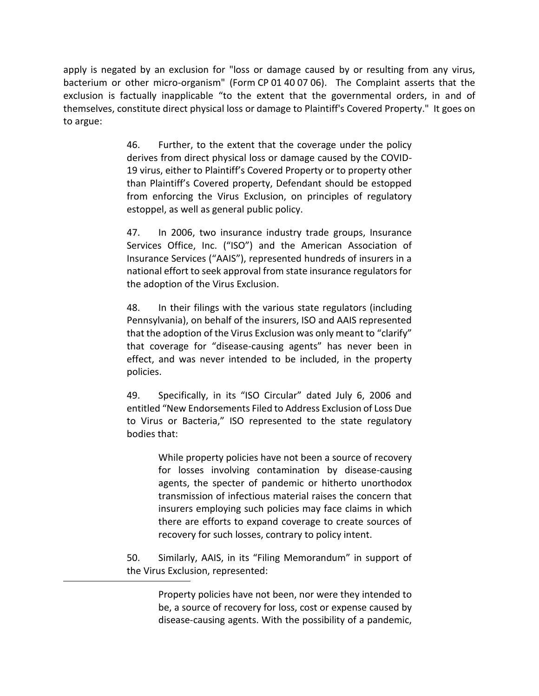apply is negated by an exclusion for "loss or damage caused by or resulting from any virus, bacterium or other micro-organism" (Form CP 01 40 07 06). The Complaint asserts that the exclusion is factually inapplicable "to the extent that the governmental orders, in and of themselves, constitute direct physical loss or damage to Plaintiff's Covered Property." It goes on to argue:

> 46. Further, to the extent that the coverage under the policy derives from direct physical loss or damage caused by the COVID-19 virus, either to Plaintiff's Covered Property or to property other than Plaintiff's Covered property, Defendant should be estopped from enforcing the Virus Exclusion, on principles of regulatory estoppel, as well as general public policy.

> 47. In 2006, two insurance industry trade groups, Insurance Services Office, Inc. ("ISO") and the American Association of Insurance Services ("AAIS"), represented hundreds of insurers in a national effort to seek approval from state insurance regulators for the adoption of the Virus Exclusion.

> 48. In their filings with the various state regulators (including Pennsylvania), on behalf of the insurers, ISO and AAIS represented that the adoption of the Virus Exclusion was only meant to "clarify" that coverage for "disease-causing agents" has never been in effect, and was never intended to be included, in the property policies.

> 49. Specifically, in its "ISO Circular" dated July 6, 2006 and entitled "New Endorsements Filed to Address Exclusion of Loss Due to Virus or Bacteria," ISO represented to the state regulatory bodies that:

> > While property policies have not been a source of recovery for losses involving contamination by disease-causing agents, the specter of pandemic or hitherto unorthodox transmission of infectious material raises the concern that insurers employing such policies may face claims in which there are efforts to expand coverage to create sources of recovery for such losses, contrary to policy intent.

50. Similarly, AAIS, in its "Filing Memorandum" in support of the Virus Exclusion, represented:

> Property policies have not been, nor were they intended to be, a source of recovery for loss, cost or expense caused by disease-causing agents. With the possibility of a pandemic,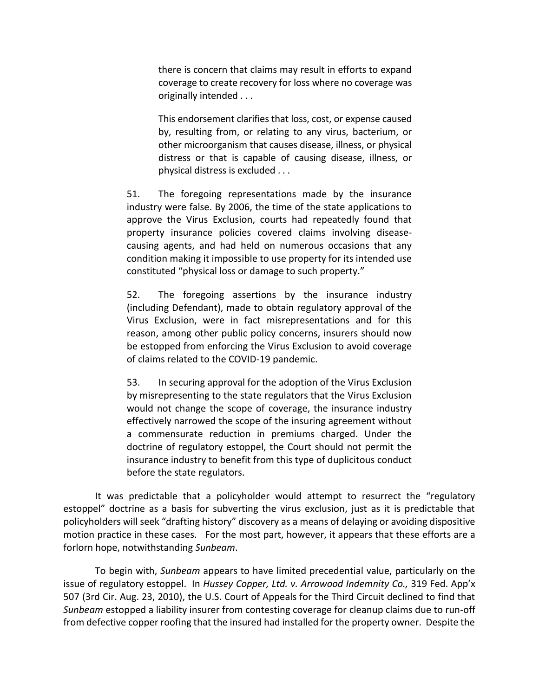there is concern that claims may result in efforts to expand coverage to create recovery for loss where no coverage was originally intended . . .

This endorsement clarifies that loss, cost, or expense caused by, resulting from, or relating to any virus, bacterium, or other microorganism that causes disease, illness, or physical distress or that is capable of causing disease, illness, or physical distress is excluded . . .

51. The foregoing representations made by the insurance industry were false. By 2006, the time of the state applications to approve the Virus Exclusion, courts had repeatedly found that property insurance policies covered claims involving diseasecausing agents, and had held on numerous occasions that any condition making it impossible to use property for its intended use constituted "physical loss or damage to such property."

52. The foregoing assertions by the insurance industry (including Defendant), made to obtain regulatory approval of the Virus Exclusion, were in fact misrepresentations and for this reason, among other public policy concerns, insurers should now be estopped from enforcing the Virus Exclusion to avoid coverage of claims related to the COVID-19 pandemic.

53. In securing approval for the adoption of the Virus Exclusion by misrepresenting to the state regulators that the Virus Exclusion would not change the scope of coverage, the insurance industry effectively narrowed the scope of the insuring agreement without a commensurate reduction in premiums charged. Under the doctrine of regulatory estoppel, the Court should not permit the insurance industry to benefit from this type of duplicitous conduct before the state regulators.

It was predictable that a policyholder would attempt to resurrect the "regulatory estoppel" doctrine as a basis for subverting the virus exclusion, just as it is predictable that policyholders will seek "drafting history" discovery as a means of delaying or avoiding dispositive motion practice in these cases. For the most part, however, it appears that these efforts are a forlorn hope, notwithstanding *Sunbeam*.

To begin with, *Sunbeam* appears to have limited precedential value, particularly on the issue of regulatory estoppel. In *Hussey Copper, Ltd. v. Arrowood Indemnity Co.,* 319 Fed. App'x 507 (3rd Cir. Aug. 23, 2010), the U.S. Court of Appeals for the Third Circuit declined to find that *Sunbeam* estopped a liability insurer from contesting coverage for cleanup claims due to run-off from defective copper roofing that the insured had installed for the property owner. Despite the